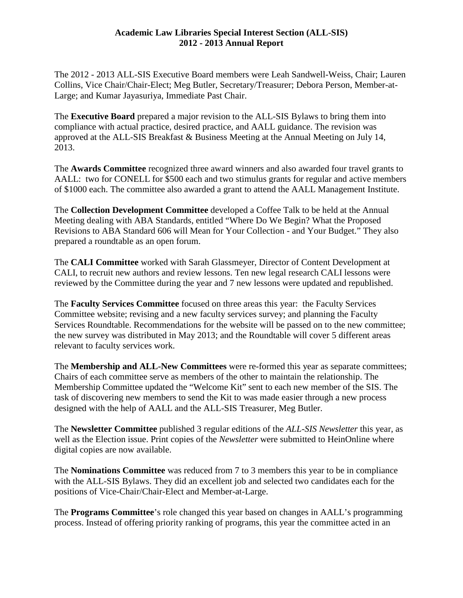## **Academic Law Libraries Special Interest Section (ALL-SIS) 2012 - 2013 Annual Report**

The 2012 - 2013 ALL-SIS Executive Board members were Leah Sandwell-Weiss, Chair; Lauren Collins, Vice Chair/Chair-Elect; Meg Butler, Secretary/Treasurer; Debora Person, Member-at-Large; and Kumar Jayasuriya, Immediate Past Chair.

The **Executive Board** prepared a major revision to the ALL-SIS Bylaws to bring them into compliance with actual practice, desired practice, and AALL guidance. The revision was approved at the ALL-SIS Breakfast & Business Meeting at the Annual Meeting on July 14, 2013.

The **Awards Committee** recognized three award winners and also awarded four travel grants to AALL: two for CONELL for \$500 each and two stimulus grants for regular and active members of \$1000 each. The committee also awarded a grant to attend the AALL Management Institute.

The **Collection Development Committee** developed a Coffee Talk to be held at the Annual Meeting dealing with ABA Standards, entitled "Where Do We Begin? What the Proposed Revisions to ABA Standard 606 will Mean for Your Collection - and Your Budget." They also prepared a roundtable as an open forum.

The **CALI Committee** worked with Sarah Glassmeyer, Director of Content Development at CALI, to recruit new authors and review lessons. Ten new legal research CALI lessons were reviewed by the Committee during the year and 7 new lessons were updated and republished.

The **Faculty Services Committee** focused on three areas this year: the Faculty Services Committee website; revising and a new faculty services survey; and planning the Faculty Services Roundtable. Recommendations for the website will be passed on to the new committee; the new survey was distributed in May 2013; and the Roundtable will cover 5 different areas relevant to faculty services work.

The **Membership and ALL-New Committees** were re-formed this year as separate committees; Chairs of each committee serve as members of the other to maintain the relationship. The Membership Committee updated the "Welcome Kit" sent to each new member of the SIS. The task of discovering new members to send the Kit to was made easier through a new process designed with the help of AALL and the ALL-SIS Treasurer, Meg Butler.

The **Newsletter Committee** published 3 regular editions of the *ALL-SIS Newsletter* this year, as well as the Election issue. Print copies of the *Newsletter* were submitted to HeinOnline where digital copies are now available.

The **Nominations Committee** was reduced from 7 to 3 members this year to be in compliance with the ALL-SIS Bylaws. They did an excellent job and selected two candidates each for the positions of Vice-Chair/Chair-Elect and Member-at-Large.

The **Programs Committee**'s role changed this year based on changes in AALL's programming process. Instead of offering priority ranking of programs, this year the committee acted in an